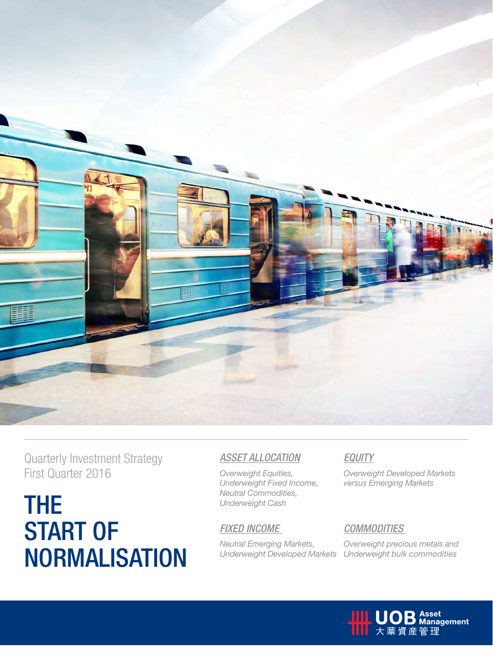

Quarterly Investment Strategy First Quarter 2016

The **START OF NORMALISATION** 

### *Asset Allocation*

*Overweight Equities, Underweight Fixed Income, Neutral Commodities, Underweight Cash*

### *Fixed Income*

*Neutral Emerging Markets, Underweight Developed Markets*

### *Equity*

*Overweight Developed Markets versus Emerging Markets*

### *Commodities*

*Overweight precious metals and Underweight bulk commodities* 

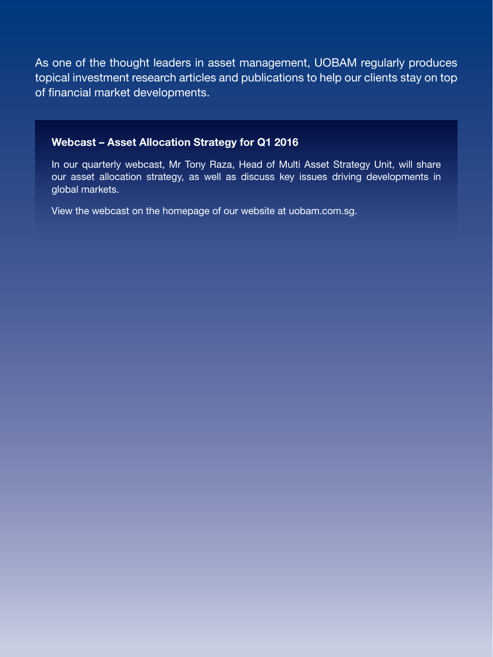As one of the thought leaders in asset management, UOBAM regularly produces topical investment research articles and publications to help our clients stay on top of financial market developments.

### Webcast – Asset Allocation Strategy for Q1 2016

In our quarterly webcast, Mr Tony Raza, Head of Multi Asset Strategy Unit, will share our asset allocation strategy, as well as discuss key issues driving developments in global markets.

View the webcast on the homepage of our website at uobam.com.sg.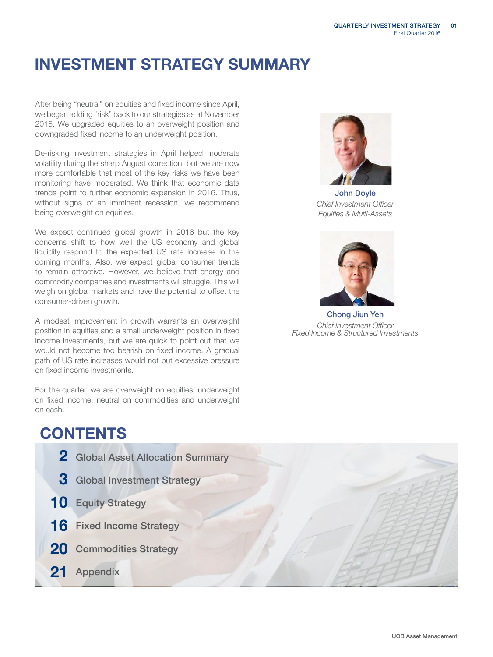## INVESTMENT STRATEGY SUMMARY

After being "neutral" on equities and fixed income since April, we began adding "risk" back to our strategies as at November 2015. We upgraded equities to an overweight position and downgraded fixed income to an underweight position.

De-risking investment strategies in April helped moderate volatility during the sharp August correction, but we are now more comfortable that most of the key risks we have been monitoring have moderated. We think that economic data trends point to further economic expansion in 2016. Thus, without signs of an imminent recession, we recommend being overweight on equities.

We expect continued global growth in 2016 but the key concerns shift to how well the US economy and global liquidity respond to the expected US rate increase in the coming months. Also, we expect global consumer trends to remain attractive. However, we believe that energy and commodity companies and investments will struggle. This will weigh on global markets and have the potential to offset the consumer-driven growth.

A modest improvement in growth warrants an overweight position in equities and a small underweight position in fixed income investments, but we are quick to point out that we would not become too bearish on fixed income. A gradual path of US rate increases would not put excessive pressure on fixed income investments.

For the quarter, we are overweight on equities, underweight on fixed income, neutral on commodities and underweight on cash.

## **CONTENTS**

- 2 Global Asset Allocation Summary 3 Global Investment Strategy
- 10 Equity Strategy
- 16 Fixed Income Strategy
- 20 Commodities Strategy
- 21 Appendix



John Doyle *Chief Investment Officer Equities & Multi-Assets*



Chong Jiun Yeh *Chief Investment Officer Fixed Income & Structured Investments*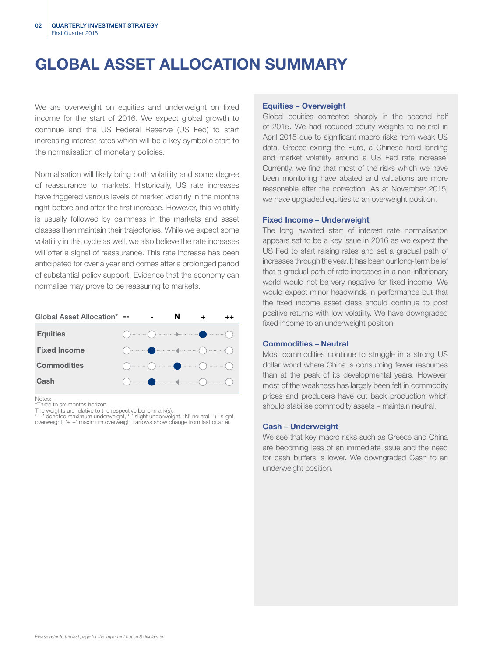# GLOBAL ASSET ALLOCATION SUMMARY

We are overweight on equities and underweight on fixed income for the start of 2016. We expect global growth to continue and the US Federal Reserve (US Fed) to start increasing interest rates which will be a key symbolic start to the normalisation of monetary policies.

Normalisation will likely bring both volatility and some degree of reassurance to markets. Historically, US rate increases have triggered various levels of market volatility in the months right before and after the first increase. However, this volatility is usually followed by calmness in the markets and asset classes then maintain their trajectories. While we expect some volatility in this cycle as well, we also believe the rate increases will offer a signal of reassurance. This rate increase has been anticipated for over a year and comes after a prolonged period of substantial policy support. Evidence that the economy can normalise may prove to be reassuring to markets.

| Global Asset Allocation* -- |                                                                                                                                                                                                                                                                                                                                                                    | N |  |
|-----------------------------|--------------------------------------------------------------------------------------------------------------------------------------------------------------------------------------------------------------------------------------------------------------------------------------------------------------------------------------------------------------------|---|--|
| <b>Equities</b>             | $\begin{picture}(150,10) \put(0,0){\line(1,0){10}} \put(15,0){\line(1,0){10}} \put(15,0){\line(1,0){10}} \put(15,0){\line(1,0){10}} \put(15,0){\line(1,0){10}} \put(15,0){\line(1,0){10}} \put(15,0){\line(1,0){10}} \put(15,0){\line(1,0){10}} \put(15,0){\line(1,0){10}} \put(15,0){\line(1,0){10}} \put(15,0){\line(1,0){10}} \put(15,0){\line($                |   |  |
| <b>Fixed Income</b>         | $\begin{picture}(180,10) \put(0,0){\line(1,0){10}} \put(10,0){\line(1,0){10}} \put(10,0){\line(1,0){10}} \put(10,0){\line(1,0){10}} \put(10,0){\line(1,0){10}} \put(10,0){\line(1,0){10}} \put(10,0){\line(1,0){10}} \put(10,0){\line(1,0){10}} \put(10,0){\line(1,0){10}} \put(10,0){\line(1,0){10}} \put(10,0){\line(1,0){10}} \put(10,0){\line($                |   |  |
| <b>Commodities</b>          | $\begin{picture}(180,10) \put(0,0){\line(1,0){10}} \put(10,0){\line(1,0){10}} \put(10,0){\line(1,0){10}} \put(10,0){\line(1,0){10}} \put(10,0){\line(1,0){10}} \put(10,0){\line(1,0){10}} \put(10,0){\line(1,0){10}} \put(10,0){\line(1,0){10}} \put(10,0){\line(1,0){10}} \put(10,0){\line(1,0){10}} \put(10,0){\line(1,0){10}} \put(10,0){\line($                |   |  |
| Cash                        | $\begin{picture}(180,10) \put(0,0){\vector(1,0){100}} \put(10,0){\vector(1,0){100}} \put(10,0){\vector(1,0){100}} \put(10,0){\vector(1,0){100}} \put(10,0){\vector(1,0){100}} \put(10,0){\vector(1,0){100}} \put(10,0){\vector(1,0){100}} \put(10,0){\vector(1,0){100}} \put(10,0){\vector(1,0){100}} \put(10,0){\vector(1,0){100}} \put(10,0){\vector(1,0){100}}$ |   |  |

Notes:

\*Three to six months horizon

The weights are relative to the respective benchmark(s). '- -' denotes maximum underweight, '-' slight underweight, 'N' neutral, '+' slight overweight, '+ +' maximum overweight; arrows show change from last quarter.

### Equities – Overweight

Global equities corrected sharply in the second half of 2015. We had reduced equity weights to neutral in April 2015 due to significant macro risks from weak US data, Greece exiting the Euro, a Chinese hard landing and market volatility around a US Fed rate increase. Currently, we find that most of the risks which we have been monitoring have abated and valuations are more reasonable after the correction. As at November 2015, we have upgraded equities to an overweight position.

### Fixed Income – Underweight

The long awaited start of interest rate normalisation appears set to be a key issue in 2016 as we expect the US Fed to start raising rates and set a gradual path of increases through the year. It has been our long-term belief that a gradual path of rate increases in a non-inflationary world would not be very negative for fixed income. We would expect minor headwinds in performance but that the fixed income asset class should continue to post positive returns with low volatility. We have downgraded fixed income to an underweight position.

### Commodities – Neutral

Most commodities continue to struggle in a strong US dollar world where China is consuming fewer resources than at the peak of its developmental years. However, most of the weakness has largely been felt in commodity prices and producers have cut back production which should stabilise commodity assets – maintain neutral.

### Cash – Underweight

We see that key macro risks such as Greece and China are becoming less of an immediate issue and the need for cash buffers is lower. We downgraded Cash to an underweight position.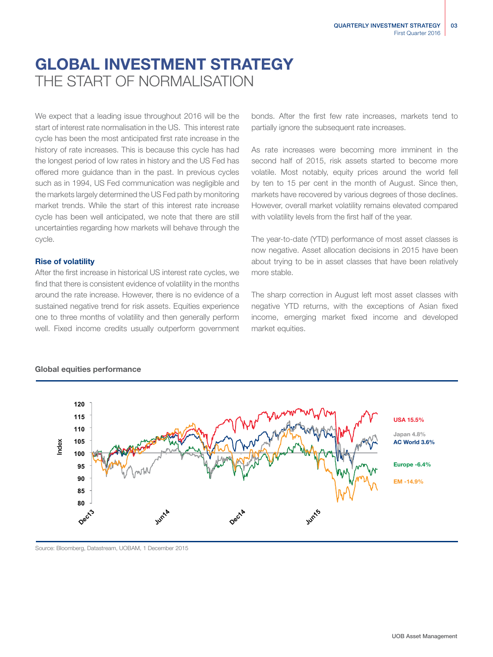## GLOBAL INVESTMENT STRATEGY THE START OF NORMAL ISATION

We expect that a leading issue throughout 2016 will be the start of interest rate normalisation in the US. This interest rate cycle has been the most anticipated first rate increase in the history of rate increases. This is because this cycle has had the longest period of low rates in history and the US Fed has offered more guidance than in the past. In previous cycles such as in 1994, US Fed communication was negligible and the markets largely determined the US Fed path by monitoring market trends. While the start of this interest rate increase cycle has been well anticipated, we note that there are still uncertainties regarding how markets will behave through the cycle.

### Rise of volatility

After the first increase in historical US interest rate cycles, we find that there is consistent evidence of volatility in the months around the rate increase. However, there is no evidence of a sustained negative trend for risk assets. Equities experience one to three months of volatility and then generally perform well. Fixed income credits usually outperform government

bonds. After the first few rate increases, markets tend to partially ignore the subsequent rate increases.

As rate increases were becoming more imminent in the second half of 2015, risk assets started to become more volatile. Most notably, equity prices around the world fell by ten to 15 per cent in the month of August. Since then, markets have recovered by various degrees of those declines. However, overall market volatility remains elevated compared with volatility levels from the first half of the year.

The year-to-date (YTD) performance of most asset classes is now negative. Asset allocation decisions in 2015 have been about trying to be in asset classes that have been relatively more stable.

The sharp correction in August left most asset classes with negative YTD returns, with the exceptions of Asian fixed income, emerging market fixed income and developed market equities.



### Global equities performance

Source: Bloomberg, Datastream, UOBAM, 1 December 2015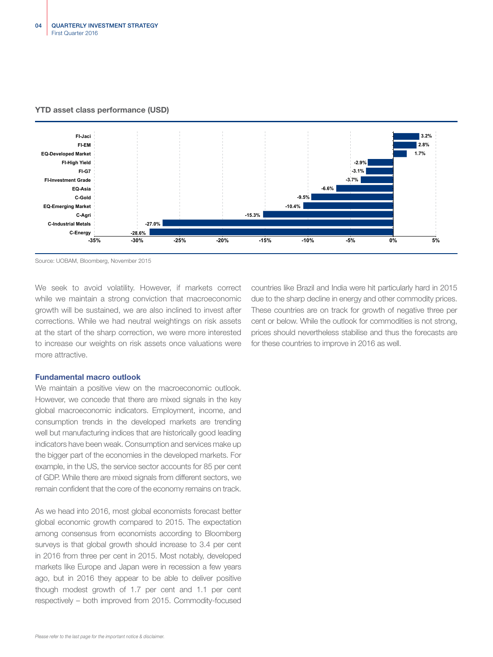

### YTD asset class performance (USD)

Source: UOBAM, Bloomberg, November 2015

We seek to avoid volatility. However, if markets correct while we maintain a strong conviction that macroeconomic growth will be sustained, we are also inclined to invest after corrections. While we had neutral weightings on risk assets at the start of the sharp correction, we were more interested to increase our weights on risk assets once valuations were more attractive.

countries like Brazil and India were hit particularly hard in 2015 due to the sharp decline in energy and other commodity prices. These countries are on track for growth of negative three per cent or below. While the outlook for commodities is not strong, prices should nevertheless stabilise and thus the forecasts are for these countries to improve in 2016 as well.

### Fundamental macro outlook

We maintain a positive view on the macroeconomic outlook. However, we concede that there are mixed signals in the key global macroeconomic indicators. Employment, income, and consumption trends in the developed markets are trending well but manufacturing indices that are historically good leading indicators have been weak. Consumption and services make up the bigger part of the economies in the developed markets. For example, in the US, the service sector accounts for 85 per cent of GDP. While there are mixed signals from different sectors, we remain confident that the core of the economy remains on track.

As we head into 2016, most global economists forecast better global economic growth compared to 2015. The expectation among consensus from economists according to Bloomberg surveys is that global growth should increase to 3.4 per cent in 2016 from three per cent in 2015. Most notably, developed markets like Europe and Japan were in recession a few years ago, but in 2016 they appear to be able to deliver positive though modest growth of 1.7 per cent and 1.1 per cent respectively – both improved from 2015. Commodity-focused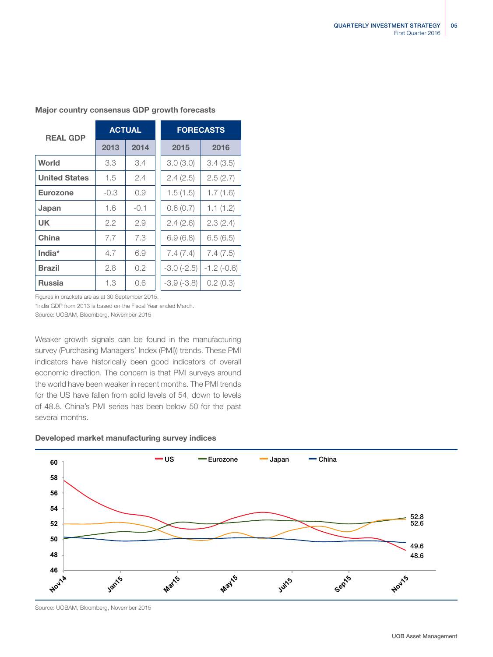| <b>REAL GDP</b>      | <b>ACTUAL</b> |        |  | <b>FORECASTS</b> |              |  |
|----------------------|---------------|--------|--|------------------|--------------|--|
|                      | 2013          | 2014   |  | 2015             | 2016         |  |
| World                | 3.3           | 3.4    |  | 3.0(3.0)         | 3.4(3.5)     |  |
| <b>United States</b> | 1.5           | 2.4    |  | 2.4(2.5)         | 2.5(2.7)     |  |
| <b>Eurozone</b>      | $-0.3$        | 0.9    |  | 1.5(1.5)         | 1.7(1.6)     |  |
| Japan                | 1.6           | $-0.1$ |  | 0.6(0.7)         | 1.1(1.2)     |  |
| <b>UK</b>            | 2.2           | 2.9    |  | 2.4(2.6)         | 2.3(2.4)     |  |
| China                | 7.7           | 7.3    |  | 6.9(6.8)         | 6.5(6.5)     |  |
| India*               | 4.7           | 6.9    |  | 7.4(7.4)         | 7.4(7.5)     |  |
| <b>Brazil</b>        | 2.8           | 0.2    |  | $-3.0$ $(-2.5)$  | $-1.2(-0.6)$ |  |
| <b>Russia</b>        | 1.3           | 0.6    |  | $-3.9(-3.8)$     | 0.2(0.3)     |  |

### Major country consensus GDP growth forecasts

Figures in brackets are as at 30 September 2015.

\*India GDP from 2013 is based on the Fiscal Year ended March. Source: UOBAM, Bloomberg, November 2015

Weaker growth signals can be found in the manufacturing survey (Purchasing Managers' Index (PMI)) trends. These PMI indicators have historically been good indicators of overall economic direction. The concern is that PMI surveys around the world have been weaker in recent months. The PMI trends for the US have fallen from solid levels of 54, down to levels of 48.8. China's PMI series has been below 50 for the past several months.

### Developed market manufacturing survey indices



Source: UOBAM, Bloomberg, November 2015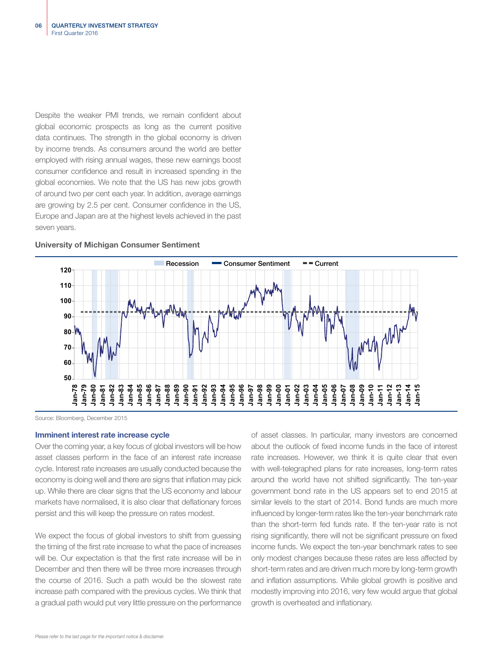Despite the weaker PMI trends, we remain confident about global economic prospects as long as the current positive data continues. The strength in the global economy is driven by income trends. As consumers around the world are better employed with rising annual wages, these new earnings boost consumer confidence and result in increased spending in the global economies. We note that the US has new jobs growth of around two per cent each year. In addition, average earnings are growing by 2.5 per cent. Consumer confidence in the US, Europe and Japan are at the highest levels achieved in the past seven years.



### University of Michigan Consumer Sentiment

Source: Bloomberg, December 2015

### Imminent interest rate increase cycle

Over the coming year, a key focus of global investors will be how asset classes perform in the face of an interest rate increase cycle. Interest rate increases are usually conducted because the economy is doing well and there are signs that inflation may pick up. While there are clear signs that the US economy and labour markets have normalised, it is also clear that deflationary forces persist and this will keep the pressure on rates modest.

We expect the focus of global investors to shift from guessing the timing of the first rate increase to what the pace of increases will be. Our expectation is that the first rate increase will be in December and then there will be three more increases through the course of 2016. Such a path would be the slowest rate increase path compared with the previous cycles. We think that a gradual path would put very little pressure on the performance

of asset classes. In particular, many investors are concerned about the outlook of fixed income funds in the face of interest rate increases. However, we think it is quite clear that even with well-telegraphed plans for rate increases, long-term rates around the world have not shifted significantly. The ten-year government bond rate in the US appears set to end 2015 at similar levels to the start of 2014. Bond funds are much more influenced by longer-term rates like the ten-year benchmark rate than the short-term fed funds rate. If the ten-year rate is not rising significantly, there will not be significant pressure on fixed income funds. We expect the ten-year benchmark rates to see only modest changes because these rates are less affected by short-term rates and are driven much more by long-term growth and inflation assumptions. While global growth is positive and modestly improving into 2016, very few would argue that global growth is overheated and inflationary.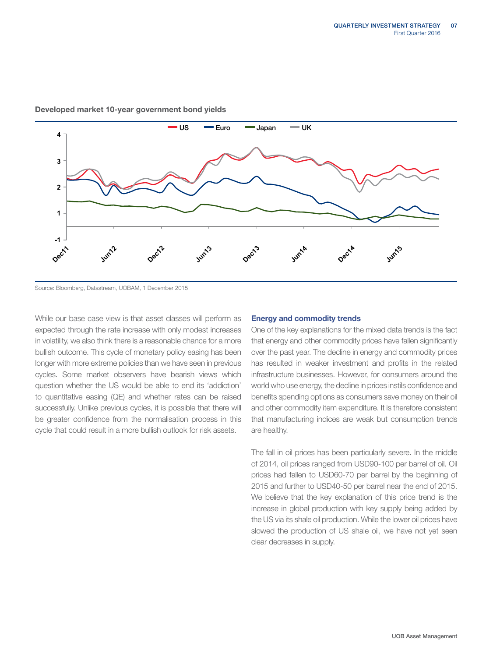

### Developed market 10-year government bond yields

Source: Bloomberg, Datastream, UOBAM, 1 December 2015

While our base case view is that asset classes will perform as expected through the rate increase with only modest increases in volatility, we also think there is a reasonable chance for a more bullish outcome. This cycle of monetary policy easing has been longer with more extreme policies than we have seen in previous cycles. Some market observers have bearish views which question whether the US would be able to end its 'addiction' to quantitative easing (QE) and whether rates can be raised successfully. Unlike previous cycles, it is possible that there will be greater confidence from the normalisation process in this cycle that could result in a more bullish outlook for risk assets.

### Energy and commodity trends

One of the key explanations for the mixed data trends is the fact that energy and other commodity prices have fallen significantly over the past year. The decline in energy and commodity prices has resulted in weaker investment and profits in the related infrastructure businesses. However, for consumers around the world who use energy, the decline in prices instils confidence and benefits spending options as consumers save money on their oil and other commodity item expenditure. It is therefore consistent that manufacturing indices are weak but consumption trends are healthy.

The fall in oil prices has been particularly severe. In the middle of 2014, oil prices ranged from USD90-100 per barrel of oil. Oil prices had fallen to USD60-70 per barrel by the beginning of 2015 and further to USD40-50 per barrel near the end of 2015. We believe that the key explanation of this price trend is the increase in global production with key supply being added by the US via its shale oil production. While the lower oil prices have slowed the production of US shale oil, we have not yet seen clear decreases in supply.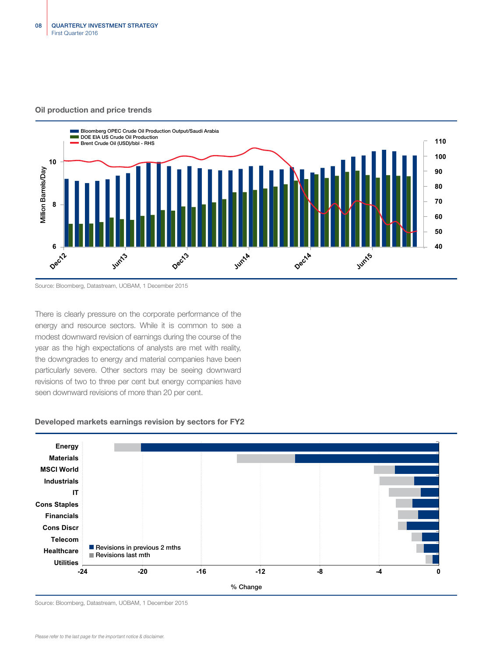### Oil production and price trends



Source: Bloomberg, Datastream, UOBAM, 1 December 2015

There is clearly pressure on the corporate performance of the energy and resource sectors. While it is common to see a modest downward revision of earnings during the course of the year as the high expectations of analysts are met with reality, the downgrades to energy and material companies have been particularly severe. Other sectors may be seeing downward revisions of two to three per cent but energy companies have seen downward revisions of more than 20 per cent.

### Developed markets earnings revision by sectors for FY2



Source: Bloomberg, Datastream, UOBAM, 1 December 2015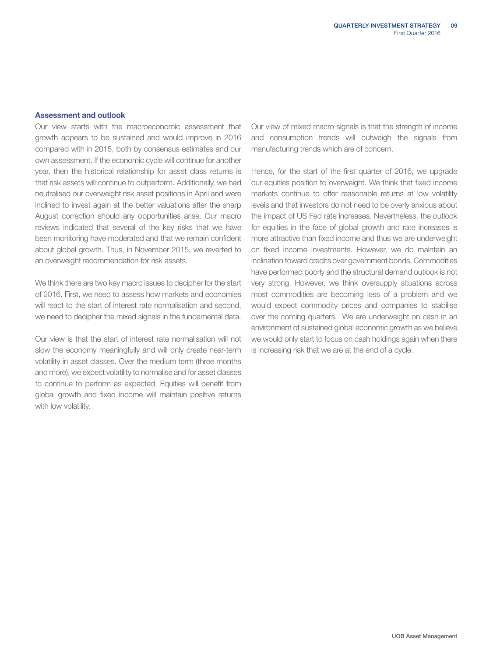### Assessment and outlook

Our view starts with the macroeconomic assessment that growth appears to be sustained and would improve in 2016 compared with in 2015, both by consensus estimates and our own assessment. If the economic cycle will continue for another year, then the historical relationship for asset class returns is that risk assets will continue to outperform. Additionally, we had neutralised our overweight risk asset positions in April and were inclined to invest again at the better valuations after the sharp August correction should any opportunities arise. Our macro reviews indicated that several of the key risks that we have been monitoring have moderated and that we remain confident about global growth. Thus, in November 2015, we reverted to an overweight recommendation for risk assets.

We think there are two key macro issues to decipher for the start of 2016. First, we need to assess how markets and economies will react to the start of interest rate normalisation and second, we need to decipher the mixed signals in the fundamental data.

Our view is that the start of interest rate normalisation will not slow the economy meaningfully and will only create near-term volatility in asset classes. Over the medium term (three months and more), we expect volatility to normalise and for asset classes to continue to perform as expected. Equities will benefit from global growth and fixed income will maintain positive returns with low volatility.

Our view of mixed macro signals is that the strength of income and consumption trends will outweigh the signals from manufacturing trends which are of concern.

Hence, for the start of the first quarter of 2016, we upgrade our equities position to overweight. We think that fixed income markets continue to offer reasonable returns at low volatility levels and that investors do not need to be overly anxious about the impact of US Fed rate increases. Nevertheless, the outlook for equities in the face of global growth and rate increases is more attractive than fixed income and thus we are underweight on fixed income investments. However, we do maintain an inclination toward credits over government bonds. Commodities have performed poorly and the structural demand outlook is not very strong. However, we think oversupply situations across most commodities are becoming less of a problem and we would expect commodity prices and companies to stabilise over the coming quarters. We are underweight on cash in an environment of sustained global economic growth as we believe we would only start to focus on cash holdings again when there is increasing risk that we are at the end of a cycle.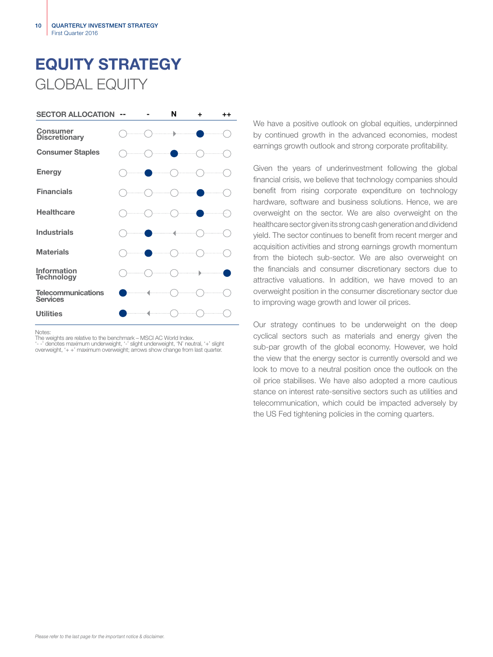# EQUITY STRATEGY GLOBAL EQUITY



Notes:

The weights are relative to the benchmark – MSCI AC World Index.

'- -' denotes maximum underweight, '-' slight underweight, 'N' neutral, '+' slight overweight, '+ +' maximum overweight; arrows show change from last quarter.

We have a positive outlook on global equities, underpinned by continued growth in the advanced economies, modest earnings growth outlook and strong corporate profitability.

Given the years of underinvestment following the global financial crisis, we believe that technology companies should benefit from rising corporate expenditure on technology hardware, software and business solutions. Hence, we are overweight on the sector. We are also overweight on the healthcare sector given its strong cash generation and dividend yield. The sector continues to benefit from recent merger and acquisition activities and strong earnings growth momentum from the biotech sub-sector. We are also overweight on the financials and consumer discretionary sectors due to attractive valuations. In addition, we have moved to an overweight position in the consumer discretionary sector due to improving wage growth and lower oil prices.

Our strategy continues to be underweight on the deep cyclical sectors such as materials and energy given the sub-par growth of the global economy. However, we hold the view that the energy sector is currently oversold and we look to move to a neutral position once the outlook on the oil price stabilises. We have also adopted a more cautious stance on interest rate-sensitive sectors such as utilities and telecommunication, which could be impacted adversely by the US Fed tightening policies in the coming quarters.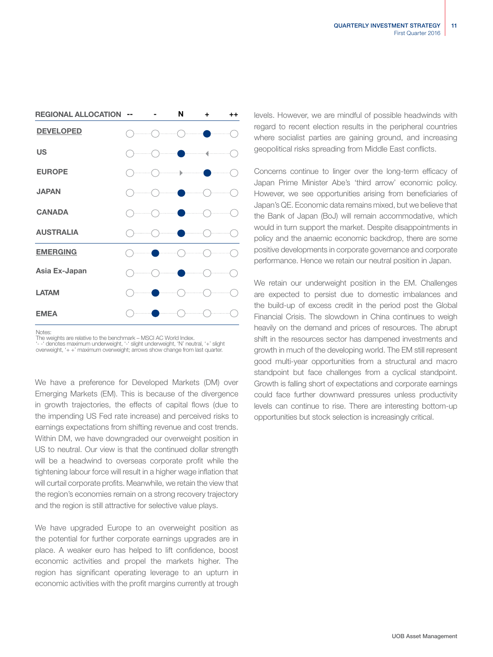| <b>REGIONAL ALLOCATION</b> |    | N                      | ٠ | $^{\mathrm{+}}$ |
|----------------------------|----|------------------------|---|-----------------|
| <b>DEVELOPED</b>           |    | .<br>.                 | . |                 |
| <b>US</b>                  | ). |                        |   |                 |
| <b>EUROPE</b>              |    |                        |   | .               |
| <b>JAPAN</b>               |    | .                      |   |                 |
| <b>CANADA</b>              |    |                        |   |                 |
| <b>AUSTRALIA</b>           |    |                        | . |                 |
| <b>EMERGING</b>            |    |                        |   |                 |
| Asia Ex-Japan              |    | <b>Service Service</b> |   | .               |
| <b>LATAM</b>               |    |                        | . | .               |
| <b>EMEA</b>                |    |                        |   |                 |

Notes:

The weights are relative to the benchmark – MSCI AC World Index.

'- -' denotes maximum underweight, '-' slight underweight, 'N' neutral, '+' slight overweight, '+ +' maximum overweight; arrows show change from last quarter.

We have a preference for Developed Markets (DM) over Emerging Markets (EM). This is because of the divergence in growth trajectories, the effects of capital flows (due to the impending US Fed rate increase) and perceived risks to earnings expectations from shifting revenue and cost trends. Within DM, we have downgraded our overweight position in US to neutral. Our view is that the continued dollar strength will be a headwind to overseas corporate profit while the tightening labour force will result in a higher wage inflation that will curtail corporate profits. Meanwhile, we retain the view that the region's economies remain on a strong recovery trajectory and the region is still attractive for selective value plays.

We have upgraded Europe to an overweight position as the potential for further corporate earnings upgrades are in place. A weaker euro has helped to lift confidence, boost economic activities and propel the markets higher. The region has significant operating leverage to an upturn in economic activities with the profit margins currently at trough levels. However, we are mindful of possible headwinds with regard to recent election results in the peripheral countries where socialist parties are gaining ground, and increasing geopolitical risks spreading from Middle East conflicts.

Concerns continue to linger over the long-term efficacy of Japan Prime Minister Abe's 'third arrow' economic policy. However, we see opportunities arising from beneficiaries of Japan's QE. Economic data remains mixed, but we believe that the Bank of Japan (BoJ) will remain accommodative, which would in turn support the market. Despite disappointments in policy and the anaemic economic backdrop, there are some positive developments in corporate governance and corporate performance. Hence we retain our neutral position in Japan.

We retain our underweight position in the EM. Challenges are expected to persist due to domestic imbalances and the build-up of excess credit in the period post the Global Financial Crisis. The slowdown in China continues to weigh heavily on the demand and prices of resources. The abrupt shift in the resources sector has dampened investments and growth in much of the developing world. The EM still represent good multi-year opportunities from a structural and macro standpoint but face challenges from a cyclical standpoint. Growth is falling short of expectations and corporate earnings could face further downward pressures unless productivity levels can continue to rise. There are interesting bottom-up opportunities but stock selection is increasingly critical.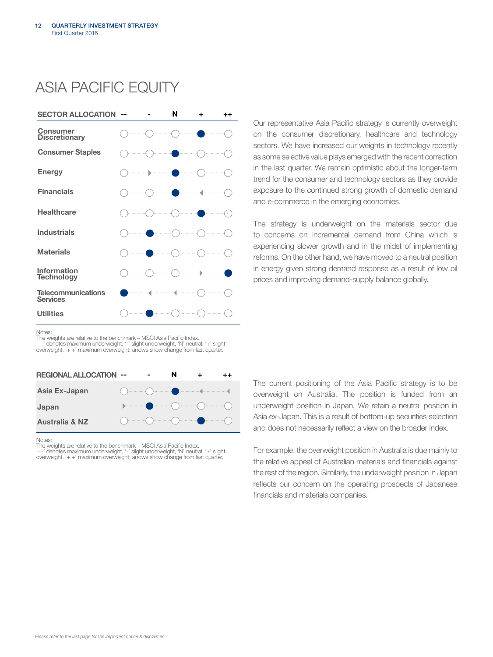## ASIA PACIFIC EQUITY



Our representative Asia Pacific strategy is currently overweight on the consumer discretionary, healthcare and technology sectors. We have increased our weights in technology recently as some selective value plays emerged with the recent correction in the last quarter. We remain optimistic about the longer-term trend for the consumer and technology sectors as they provide exposure to the continued strong growth of domestic demand and e-commerce in the emerging economies.

The strategy is underweight on the materials sector due to concerns on incremental demand from China which is experiencing slower growth and in the midst of implementing reforms. On the other hand, we have moved to a neutral position in energy given strong demand response as a result of low oil prices and improving demand-supply balance globally.

Notes:

The weights are relative to the benchmark – MSCI Asia Pacific Index. '- -' denotes maximum underweight, '-' slight underweight, 'N' neutral, '+' slight overweight, '+ +' maximum overweight; arrows show change from last quarter

| <b>REGIONAL ALLOCATION --</b> |  | N                                                                                                                                                                                                                                                                                                                                                                  |  |
|-------------------------------|--|--------------------------------------------------------------------------------------------------------------------------------------------------------------------------------------------------------------------------------------------------------------------------------------------------------------------------------------------------------------------|--|
| Asia Ex-Japan                 |  | $\begin{picture}(180,10) \put(0,0){\vector(1,0){100}} \put(10,0){\vector(1,0){100}} \put(10,0){\vector(1,0){100}} \put(10,0){\vector(1,0){100}} \put(10,0){\vector(1,0){100}} \put(10,0){\vector(1,0){100}} \put(10,0){\vector(1,0){100}} \put(10,0){\vector(1,0){100}} \put(10,0){\vector(1,0){100}} \put(10,0){\vector(1,0){100}} \put(10,0){\vector(1,0){100}}$ |  |
| Japan                         |  | $\begin{picture}(180,10) \put(0,0){\line(1,0){10}} \put(10,0){\line(1,0){10}} \put(10,0){\line(1,0){10}} \put(10,0){\line(1,0){10}} \put(10,0){\line(1,0){10}} \put(10,0){\line(1,0){10}} \put(10,0){\line(1,0){10}} \put(10,0){\line(1,0){10}} \put(10,0){\line(1,0){10}} \put(10,0){\line(1,0){10}} \put(10,0){\line(1,0){10}} \put(10,0){\line($                |  |
| <b>Australia &amp; NZ</b>     |  | $\begin{picture}(180,10) \put(0,0){\line(1,0){10}} \put(10,0){\line(1,0){10}} \put(10,0){\line(1,0){10}} \put(10,0){\line(1,0){10}} \put(10,0){\line(1,0){10}} \put(10,0){\line(1,0){10}} \put(10,0){\line(1,0){10}} \put(10,0){\line(1,0){10}} \put(10,0){\line(1,0){10}} \put(10,0){\line(1,0){10}} \put(10,0){\line(1,0){10}} \put(10,0){\line($                |  |

Notes:

The weights are relative to the benchmark – MSCI Asia Pacific Index.<br>'- -' denotes maximum underweight, '-' slight underweight, 'N' neutral, '+' slight<br>overweight, '+ +' maximum overweight; arrows show change from last qua

The current positioning of the Asia Pacific strategy is to be overweight on Australia. The position is funded from an underweight position in Japan. We retain a neutral position in Asia ex-Japan. This is a result of bottom-up securities selection and does not necessarily reflect a view on the broader index.

For example, the overweight position in Australia is due mainly to the relative appeal of Australian materials and financials against the rest of the region. Similarly, the underweight position in Japan reflects our concern on the operating prospects of Japanese financials and materials companies.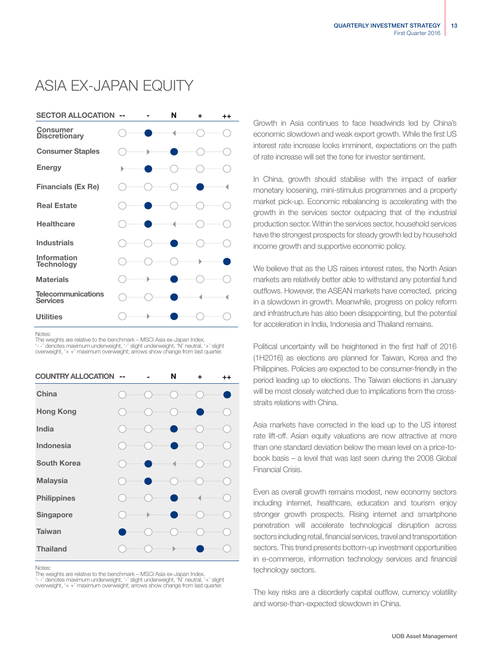## ASIA EX-JAPAN EQUITY



Notes:

The weights are relative to the benchmark – MSCI Asia ex-Japan Index.

'- -' denotes maximum underweight, '-' slight underweight, 'N' neutral, '+' slight overweight, '+ +' maximum overweight; arrows show change from last quarter.

| <b>COUNTRY ALLOCATION</b> |   | N                    | ÷ | $++$ |
|---------------------------|---|----------------------|---|------|
| China                     |   |                      |   |      |
| <b>Hong Kong</b>          |   |                      | . |      |
| India                     |   |                      |   |      |
| <b>Indonesia</b>          |   |                      |   |      |
| <b>South Korea</b>        |   | .                    |   |      |
| <b>Malaysia</b>           |   |                      |   |      |
| <b>Philippines</b>        |   |                      |   |      |
| Singapore                 | ь |                      |   |      |
| <b>Taiwan</b>             |   |                      |   |      |
| <b>Thailand</b>           |   | $\ddot{\phantom{1}}$ |   |      |

Notes:

The weights are relative to the benchmark – MSCI Asia ex-Japan Index. '- -' denotes maximum underweight, '-' slight underweight, 'N' neutral, '+' slight overweight, '+ +' maximum overweight; arrows show change from last quarter. Growth in Asia continues to face headwinds led by China's economic slowdown and weak export growth. While the first US interest rate increase looks imminent, expectations on the path of rate increase will set the tone for investor sentiment.

In China, growth should stabilise with the impact of earlier monetary loosening, mini-stimulus programmes and a property market pick-up. Economic rebalancing is accelerating with the growth in the services sector outpacing that of the industrial production sector. Within the services sector, household services have the strongest prospects for steady growth led by household income growth and supportive economic policy.

We believe that as the US raises interest rates, the North Asian markets are relatively better able to withstand any potential fund outflows. However, the ASEAN markets have corrected, pricing in a slowdown in growth. Meanwhile, progress on policy reform and infrastructure has also been disappointing, but the potential for acceleration in India, Indonesia and Thailand remains.

Political uncertainty will be heightened in the first half of 2016 (1H2016) as elections are planned for Taiwan, Korea and the Philippines. Policies are expected to be consumer-friendly in the period leading up to elections. The Taiwan elections in January will be most closely watched due to implications from the crossstraits relations with China.

Asia markets have corrected in the lead up to the US interest rate lift-off. Asian equity valuations are now attractive at more than one standard deviation below the mean level on a price-tobook basis – a level that was last seen during the 2008 Global Financial Crisis.

Even as overall growth remains modest, new economy sectors including internet, healthcare, education and tourism enjoy stronger growth prospects. Rising internet and smartphone penetration will accelerate technological disruption across sectors including retail, financial services, travel and transportation sectors. This trend presents bottom-up investment opportunities in e-commerce, information technology services and financial technology sectors.

The key risks are a disorderly capital outflow, currency volatility and worse-than-expected slowdown in China.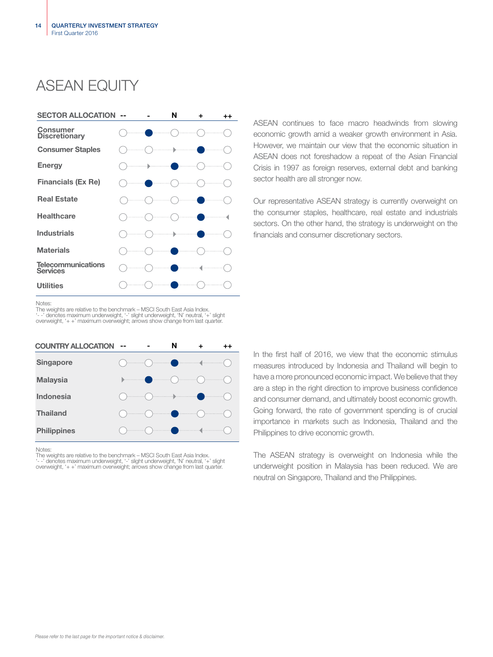## ASEAN FOUITY



ASEAN continues to face macro headwinds from slowing economic growth amid a weaker growth environment in Asia. However, we maintain our view that the economic situation in ASEAN does not foreshadow a repeat of the Asian Financial Crisis in 1997 as foreign reserves, external debt and banking sector health are all stronger now.

Our representative ASEAN strategy is currently overweight on the consumer staples, healthcare, real estate and industrials sectors. On the other hand, the strategy is underweight on the financials and consumer discretionary sectors.

### Notes:

The weights are relative to the benchmark – MSCI South East Asia Index. '- -' denotes maximum underweight, '-' slight underweight, 'N' neutral, '+' slight overweight, '+ +' maximum overweight; arrows show change from last quarter.

| <b>COUNTRY ALLOCATION</b> | -- | N |  |
|---------------------------|----|---|--|
| <b>Singapore</b>          |    |   |  |
| <b>Malaysia</b>           |    |   |  |
| <b>Indonesia</b>          |    |   |  |
| <b>Thailand</b>           |    |   |  |
| <b>Philippines</b>        |    |   |  |

### **Notes**

The weights are relative to the benchmark – MSCI South East Asia Index. '- -' denotes maximum underweight, '-' slight underweight, 'N' neutral, '+' slight overweight, '+ +' maximum overweight; arrows show change from last quarter. In the first half of 2016, we view that the economic stimulus measures introduced by Indonesia and Thailand will begin to have a more pronounced economic impact. We believe that they are a step in the right direction to improve business confidence and consumer demand, and ultimately boost economic growth. Going forward, the rate of government spending is of crucial importance in markets such as Indonesia, Thailand and the Philippines to drive economic growth.

The ASEAN strategy is overweight on Indonesia while the underweight position in Malaysia has been reduced. We are neutral on Singapore, Thailand and the Philippines.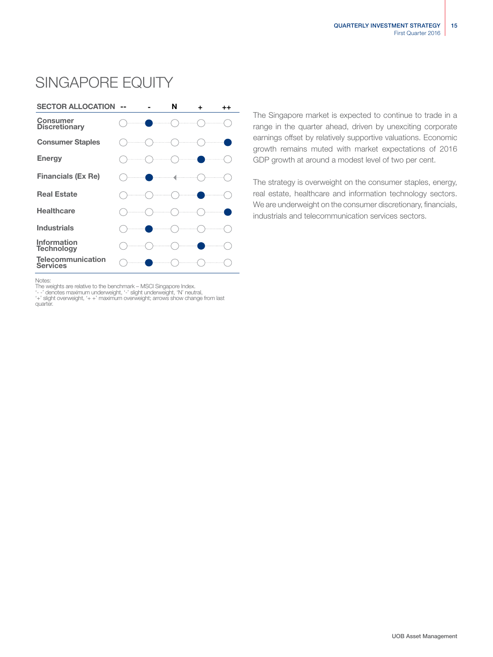## SINGAPORE EQUITY



The Singapore market is expected to continue to trade in a range in the quarter ahead, driven by unexciting corporate earnings offset by relatively supportive valuations. Economic growth remains muted with market expectations of 2016 GDP growth at around a modest level of two per cent.

The strategy is overweight on the consumer staples, energy, real estate, healthcare and information technology sectors. We are underweight on the consumer discretionary, financials, industrials and telecommunication services sectors.

Notes:

The weights are relative to the benchmark – MSCI Singapore Index.<br>'--' denotes maximum underweight, '-' slight underweight, 'N' neutral,<br>'+' slight overweight, '+ +' maximum overweight; arrows show change from last quarter.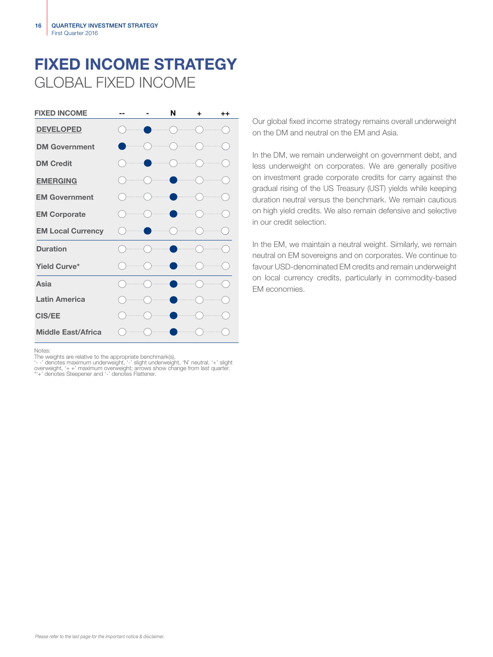## FIXED INCOME STRATEGY GLOBAL FIXED INCOME



Notes:

The weights are relative to the appropriate benchmark(s).<br>'- -' denotes maximum underweight, '--' slight underweight, 'N' neutral, '+' slight<br>overweight, '+ +' maximum overweight; arrows show change from last quarter.<br>\*'+'

Our global fixed income strategy remains overall underweight on the DM and neutral on the EM and Asia.

In the DM, we remain underweight on government debt, and less underweight on corporates. We are generally positive on investment grade corporate credits for carry against the gradual rising of the US Treasury (UST) yields while keeping duration neutral versus the benchmark. We remain cautious on high yield credits. We also remain defensive and selective in our credit selection.

In the EM, we maintain a neutral weight. Similarly, we remain neutral on EM sovereigns and on corporates. We continue to favour USD-denominated EM credits and remain underweight on local currency credits, particularly in commodity-based EM economies.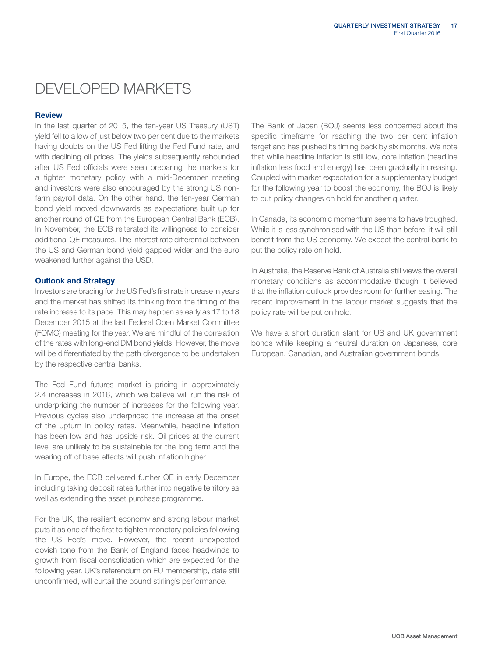## DEVELOPED MARKETS

### **Review**

In the last quarter of 2015, the ten-year US Treasury (UST) yield fell to a low of just below two per cent due to the markets having doubts on the US Fed lifting the Fed Fund rate, and with declining oil prices. The yields subsequently rebounded after US Fed officials were seen preparing the markets for a tighter monetary policy with a mid-December meeting and investors were also encouraged by the strong US nonfarm payroll data. On the other hand, the ten-year German bond yield moved downwards as expectations built up for another round of QE from the European Central Bank (ECB). In November, the ECB reiterated its willingness to consider additional QE measures. The interest rate differential between the US and German bond yield gapped wider and the euro weakened further against the USD.

### Outlook and Strategy

Investors are bracing for the US Fed's first rate increase in years and the market has shifted its thinking from the timing of the rate increase to its pace. This may happen as early as 17 to 18 December 2015 at the last Federal Open Market Committee (FOMC) meeting for the year. We are mindful of the correlation of the rates with long-end DM bond yields. However, the move will be differentiated by the path divergence to be undertaken by the respective central banks.

The Fed Fund futures market is pricing in approximately 2.4 increases in 2016, which we believe will run the risk of underpricing the number of increases for the following year. Previous cycles also underpriced the increase at the onset of the upturn in policy rates. Meanwhile, headline inflation has been low and has upside risk. Oil prices at the current level are unlikely to be sustainable for the long term and the wearing off of base effects will push inflation higher.

In Europe, the ECB delivered further QE in early December including taking deposit rates further into negative territory as well as extending the asset purchase programme.

For the UK, the resilient economy and strong labour market puts it as one of the first to tighten monetary policies following the US Fed's move. However, the recent unexpected dovish tone from the Bank of England faces headwinds to growth from fiscal consolidation which are expected for the following year. UK's referendum on EU membership, date still unconfirmed, will curtail the pound stirling's performance.

The Bank of Japan (BOJ) seems less concerned about the specific timeframe for reaching the two per cent inflation target and has pushed its timing back by six months. We note that while headline inflation is still low, core inflation (headline inflation less food and energy) has been gradually increasing. Coupled with market expectation for a supplementary budget for the following year to boost the economy, the BOJ is likely to put policy changes on hold for another quarter.

In Canada, its economic momentum seems to have troughed. While it is less synchronised with the US than before, it will still benefit from the US economy. We expect the central bank to put the policy rate on hold.

In Australia, the Reserve Bank of Australia still views the overall monetary conditions as accommodative though it believed that the inflation outlook provides room for further easing. The recent improvement in the labour market suggests that the policy rate will be put on hold.

We have a short duration slant for US and UK government bonds while keeping a neutral duration on Japanese, core European, Canadian, and Australian government bonds.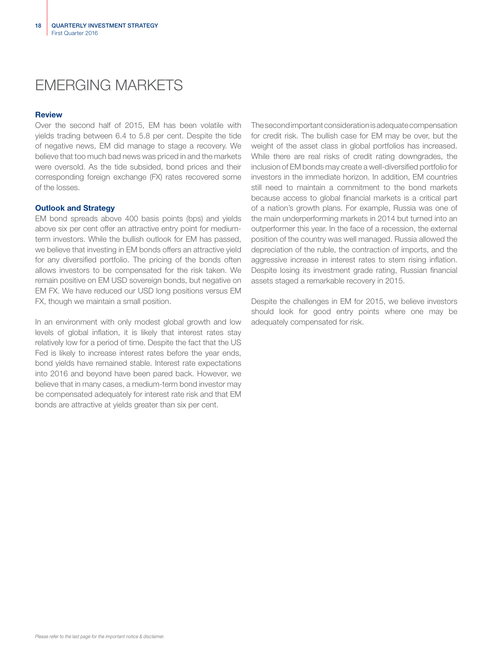## EMERGING MARKETS

### Review

Over the second half of 2015, EM has been volatile with yields trading between 6.4 to 5.8 per cent. Despite the tide of negative news, EM did manage to stage a recovery. We believe that too much bad news was priced in and the markets were oversold. As the tide subsided, bond prices and their corresponding foreign exchange (FX) rates recovered some of the losses.

### Outlook and Strategy

EM bond spreads above 400 basis points (bps) and yields above six per cent offer an attractive entry point for mediumterm investors. While the bullish outlook for EM has passed, we believe that investing in EM bonds offers an attractive yield for any diversified portfolio. The pricing of the bonds often allows investors to be compensated for the risk taken. We remain positive on EM USD sovereign bonds, but negative on EM FX. We have reduced our USD long positions versus EM FX, though we maintain a small position.

In an environment with only modest global growth and low levels of global inflation, it is likely that interest rates stay relatively low for a period of time. Despite the fact that the US Fed is likely to increase interest rates before the year ends, bond yields have remained stable. Interest rate expectations into 2016 and beyond have been pared back. However, we believe that in many cases, a medium-term bond investor may be compensated adequately for interest rate risk and that EM bonds are attractive at yields greater than six per cent.

The second important consideration is adequate compensation for credit risk. The bullish case for EM may be over, but the weight of the asset class in global portfolios has increased. While there are real risks of credit rating downgrades, the inclusion of EM bonds may create a well-diversified portfolio for investors in the immediate horizon. In addition, EM countries still need to maintain a commitment to the bond markets because access to global financial markets is a critical part of a nation's growth plans. For example, Russia was one of the main underperforming markets in 2014 but turned into an outperformer this year. In the face of a recession, the external position of the country was well managed. Russia allowed the depreciation of the ruble, the contraction of imports, and the aggressive increase in interest rates to stem rising inflation. Despite losing its investment grade rating, Russian financial assets staged a remarkable recovery in 2015.

Despite the challenges in EM for 2015, we believe investors should look for good entry points where one may be adequately compensated for risk.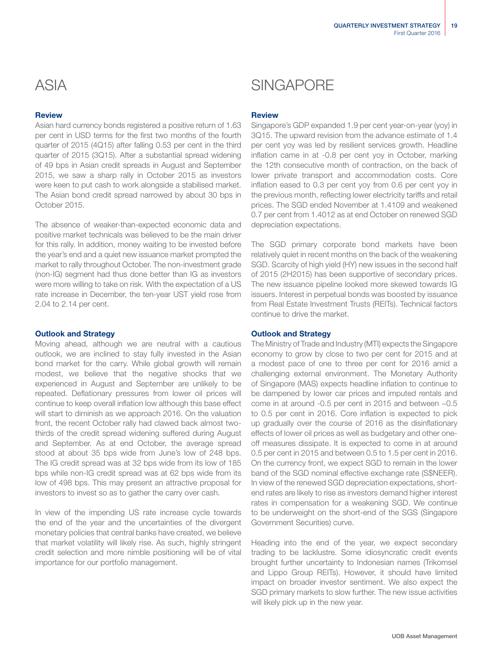### **Review**

Asian hard currency bonds registered a positive return of 1.63 per cent in USD terms for the first two months of the fourth quarter of 2015 (4Q15) after falling 0.53 per cent in the third quarter of 2015 (3Q15). After a substantial spread widening of 49 bps in Asian credit spreads in August and September 2015, we saw a sharp rally in October 2015 as investors were keen to put cash to work alongside a stabilised market. The Asian bond credit spread narrowed by about 30 bps in October 2015.

The absence of weaker-than-expected economic data and positive market technicals was believed to be the main driver for this rally. In addition, money waiting to be invested before the year's end and a quiet new issuance market prompted the market to rally throughout October. The non-investment grade (non-IG) segment had thus done better than IG as investors were more willing to take on risk. With the expectation of a US rate increase in December, the ten-year UST yield rose from 2.04 to 2.14 per cent.

### Outlook and Strategy

Moving ahead, although we are neutral with a cautious outlook, we are inclined to stay fully invested in the Asian bond market for the carry. While global growth will remain modest, we believe that the negative shocks that we experienced in August and September are unlikely to be repeated. Deflationary pressures from lower oil prices will continue to keep overall inflation low although this base effect will start to diminish as we approach 2016. On the valuation front, the recent October rally had clawed back almost twothirds of the credit spread widening suffered during August and September. As at end October, the average spread stood at about 35 bps wide from June's low of 248 bps. The IG credit spread was at 32 bps wide from its low of 185 bps while non-IG credit spread was at 62 bps wide from its low of 498 bps. This may present an attractive proposal for investors to invest so as to gather the carry over cash.

In view of the impending US rate increase cycle towards the end of the year and the uncertainties of the divergent monetary policies that central banks have created, we believe that market volatility will likely rise. As such, highly stringent credit selection and more nimble positioning will be of vital importance for our portfolio management.

### ASIA SINGAPORE

### **Review**

Singapore's GDP expanded 1.9 per cent year-on-year (yoy) in 3Q15. The upward revision from the advance estimate of 1.4 per cent yoy was led by resilient services growth. Headline inflation came in at -0.8 per cent yoy in October, marking the 12th consecutive month of contraction, on the back of lower private transport and accommodation costs. Core inflation eased to 0.3 per cent yoy from 0.6 per cent yoy in the previous month, reflecting lower electricity tariffs and retail prices. The SGD ended November at 1.4109 and weakened 0.7 per cent from 1.4012 as at end October on renewed SGD depreciation expectations.

The SGD primary corporate bond markets have been relatively quiet in recent months on the back of the weakening SGD. Scarcity of high yield (HY) new issues in the second half of 2015 (2H2015) has been supportive of secondary prices. The new issuance pipeline looked more skewed towards IG issuers. Interest in perpetual bonds was boosted by issuance from Real Estate Investment Trusts (REITs). Technical factors continue to drive the market.

### Outlook and Strategy

The Ministry of Trade and Industry (MTI) expects the Singapore economy to grow by close to two per cent for 2015 and at a modest pace of one to three per cent for 2016 amid a challenging external environment. The Monetary Authority of Singapore (MAS) expects headline inflation to continue to be dampened by lower car prices and imputed rentals and come in at around -0.5 per cent in 2015 and between −0.5 to 0.5 per cent in 2016. Core inflation is expected to pick up gradually over the course of 2016 as the disinflationary effects of lower oil prices as well as budgetary and other oneoff measures dissipate. It is expected to come in at around 0.5 per cent in 2015 and between 0.5 to 1.5 per cent in 2016. On the currency front, we expect SGD to remain in the lower band of the SGD nominal effective exchange rate (S\$NEER). In view of the renewed SGD depreciation expectations, shortend rates are likely to rise as investors demand higher interest rates in compensation for a weakening SGD. We continue to be underweight on the short-end of the SGS (Singapore Government Securities) curve.

Heading into the end of the year, we expect secondary trading to be lacklustre. Some idiosyncratic credit events brought further uncertainty to Indonesian names (Trikomsel and Lippo Group REITs). However, it should have limited impact on broader investor sentiment. We also expect the SGD primary markets to slow further. The new issue activities will likely pick up in the new year.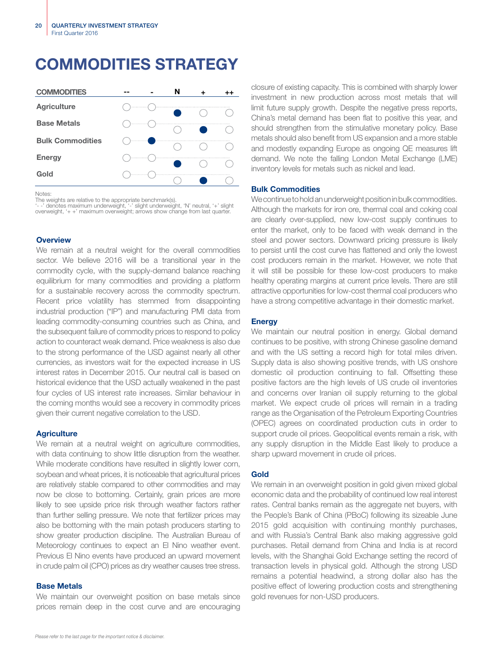## COMMODITIES STRATEGY

| <b>COMMODITIES</b>      |       |   | N |  |
|-------------------------|-------|---|---|--|
| <b>Agriculture</b>      | 1.1.1 |   |   |  |
| <b>Base Metals</b>      |       | . |   |  |
| <b>Bulk Commodities</b> | .     |   |   |  |
| <b>Energy</b>           |       |   |   |  |
| Gold                    |       |   |   |  |

Notes:

The weights are relative to the appropriate benchmark(s).<br>'- -' denotes maximum underweight, '-' slight underweight, 'N' neutral, '+' slight<br>overweight, '+ +' maximum overweight; arrows show change from last quarter.

### **Overview**

We remain at a neutral weight for the overall commodities sector. We believe 2016 will be a transitional year in the commodity cycle, with the supply-demand balance reaching equilibrium for many commodities and providing a platform for a sustainable recovery across the commodity spectrum. Recent price volatility has stemmed from disappointing industrial production ("IP") and manufacturing PMI data from leading commodity-consuming countries such as China, and the subsequent failure of commodity prices to respond to policy action to counteract weak demand. Price weakness is also due to the strong performance of the USD against nearly all other currencies, as investors wait for the expected increase in US interest rates in December 2015. Our neutral call is based on historical evidence that the USD actually weakened in the past four cycles of US interest rate increases. Similar behaviour in the coming months would see a recovery in commodity prices given their current negative correlation to the USD.

### **Agriculture**

We remain at a neutral weight on agriculture commodities, with data continuing to show little disruption from the weather. While moderate conditions have resulted in slightly lower corn, soybean and wheat prices, it is noticeable that agricultural prices are relatively stable compared to other commodities and may now be close to bottoming. Certainly, grain prices are more likely to see upside price risk through weather factors rather than further selling pressure. We note that fertilizer prices may also be bottoming with the main potash producers starting to show greater production discipline. The Australian Bureau of Meteorology continues to expect an El Nino weather event. Previous El Nino events have produced an upward movement in crude palm oil (CPO) prices as dry weather causes tree stress.

### Base Metals

We maintain our overweight position on base metals since prices remain deep in the cost curve and are encouraging

closure of existing capacity. This is combined with sharply lower investment in new production across most metals that will limit future supply growth. Despite the negative press reports, China's metal demand has been flat to positive this year, and should strengthen from the stimulative monetary policy. Base metals should also benefit from US expansion and a more stable and modestly expanding Europe as ongoing QE measures lift demand. We note the falling London Metal Exchange (LME) inventory levels for metals such as nickel and lead.

### Bulk Commodities

We continue to hold an underweight position in bulk commodities. Although the markets for iron ore, thermal coal and coking coal are clearly over-supplied, new low-cost supply continues to enter the market, only to be faced with weak demand in the steel and power sectors. Downward pricing pressure is likely to persist until the cost curve has flattened and only the lowest cost producers remain in the market. However, we note that it will still be possible for these low-cost producers to make healthy operating margins at current price levels. There are still attractive opportunities for low-cost thermal coal producers who have a strong competitive advantage in their domestic market.

### **Energy**

We maintain our neutral position in energy. Global demand continues to be positive, with strong Chinese gasoline demand and with the US setting a record high for total miles driven. Supply data is also showing positive trends, with US onshore domestic oil production continuing to fall. Offsetting these positive factors are the high levels of US crude oil inventories and concerns over Iranian oil supply returning to the global market. We expect crude oil prices will remain in a trading range as the Organisation of the Petroleum Exporting Countries (OPEC) agrees on coordinated production cuts in order to support crude oil prices. Geopolitical events remain a risk, with any supply disruption in the Middle East likely to produce a sharp upward movement in crude oil prices.

### Gold

We remain in an overweight position in gold given mixed global economic data and the probability of continued low real interest rates. Central banks remain as the aggregate net buyers, with the People's Bank of China (PBoC) following its sizeable June 2015 gold acquisition with continuing monthly purchases, and with Russia's Central Bank also making aggressive gold purchases. Retail demand from China and India is at record levels, with the Shanghai Gold Exchange setting the record of transaction levels in physical gold. Although the strong USD remains a potential headwind, a strong dollar also has the positive effect of lowering production costs and strengthening gold revenues for non-USD producers.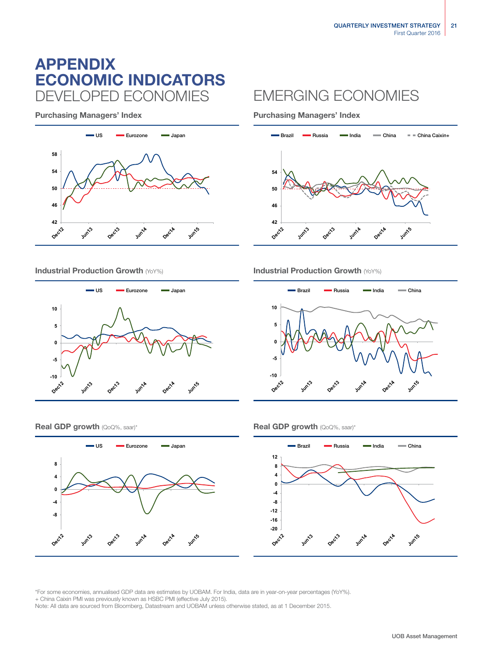### ECONOMIC INDICATORS APPENDIX DEVELOPED ECONOMIES EMERGING ECONOMIES



Purchasing Managers' Index **Purchasing Managers' Index** 





Industrial Production Growth (YoY%) **Industrial Production Growth (YoY%) Industrial Production Growth (YoY%)** 



### **Real GDP growth** (QoQ%, saar)\* **Real GDP growth** (QoQ%, saar)\*





\*For some economies, annualised GDP data are estimates by UOBAM. For India, data are in year-on-year percentages (YoY%). + China Caixin PMI was previously known as HSBC PMI (effective July 2015).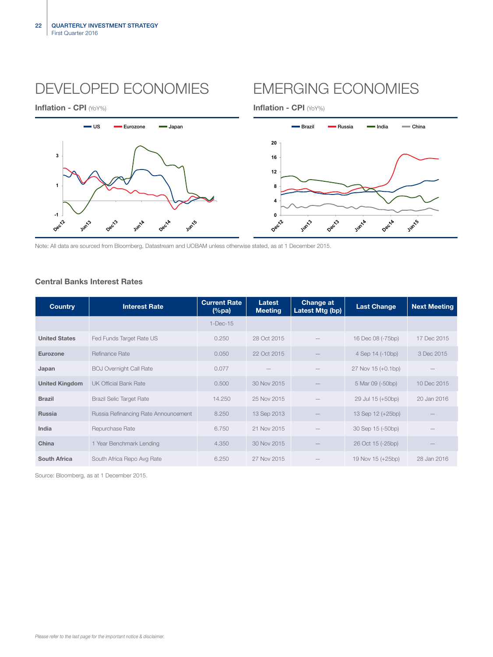## DEVELOPED ECONOMIES EMERGING ECONOMIES



Inflation - CPI (YoY%) and the control of the control of the line of the line of the line of the line of the line of the line of the line of the line of the line of the line of the line of the line of the line of the line



Note: All data are sourced from Bloomberg, Datastream and UOBAM unless otherwise stated, as at 1 December 2015.

### Central Banks Interest Rates

| <b>Country</b>        | <b>Interest Rate</b>                 | <b>Current Rate</b><br>$(\%pa)$ | Latest<br><b>Meeting</b> | <b>Change at</b><br>Latest Mtg (bp) | <b>Last Change</b> | <b>Next Meeting</b> |
|-----------------------|--------------------------------------|---------------------------------|--------------------------|-------------------------------------|--------------------|---------------------|
|                       |                                      | $1 - Dec-15$                    |                          |                                     |                    |                     |
| <b>United States</b>  | Fed Funds Target Rate US             | 0.250                           | 28 Oct 2015              |                                     | 16 Dec 08 (-75bp)  | 17 Dec 2015         |
| Eurozone              | Refinance Rate                       | 0.050                           | 22 Oct 2015              |                                     | 4 Sep 14 (-10bp)   | 3 Dec 2015          |
| Japan                 | <b>BOJ Overnight Call Rate</b>       | 0.077                           |                          |                                     | 27 Nov 15 (+0.1bp) |                     |
| <b>United Kingdom</b> | <b>UK Official Bank Rate</b>         | 0.500                           | 30 Nov 2015              |                                     | 5 Mar 09 (-50bp)   | 10 Dec 2015         |
| <b>Brazil</b>         | <b>Brazil Selic Target Rate</b>      | 14.250                          | 25 Nov 2015              |                                     | 29 Jul 15 (+50bp)  | 20 Jan 2016         |
| <b>Russia</b>         | Russia Refinancing Rate Announcement | 8.250                           | 13 Sep 2013              |                                     | 13 Sep 12 (+25bp)  |                     |
| India                 | Repurchase Rate                      | 6.750                           | 21 Nov 2015              |                                     | 30 Sep 15 (-50bp)  |                     |
| China                 | 1 Year Benchmark Lending             | 4.350                           | 30 Nov 2015              |                                     | 26 Oct 15 (-25bp)  |                     |
| <b>South Africa</b>   | South Africa Repo Avg Rate           | 6.250                           | 27 Nov 2015              |                                     | 19 Nov 15 (+25bp)  | 28 Jan 2016         |

Source: Bloomberg, as at 1 December 2015.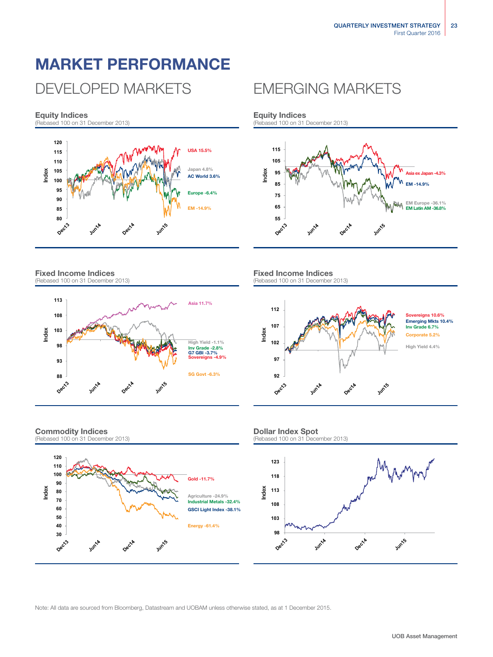# MARKET PERFORMANCE

## DEVELOPED MARKETS FMERGING MARKETS

### Equity Indices

(Rebased 100 on 31 December 2013)



Fixed Income Indices (Rebased 100 on 31 December 2013)



### Commodity Indices



Equity Indices (Rebased 100 on 31 December 2013)



### Fixed Income Indices (Rebased 100 on 31 December 2013)



### Dollar Index Spot

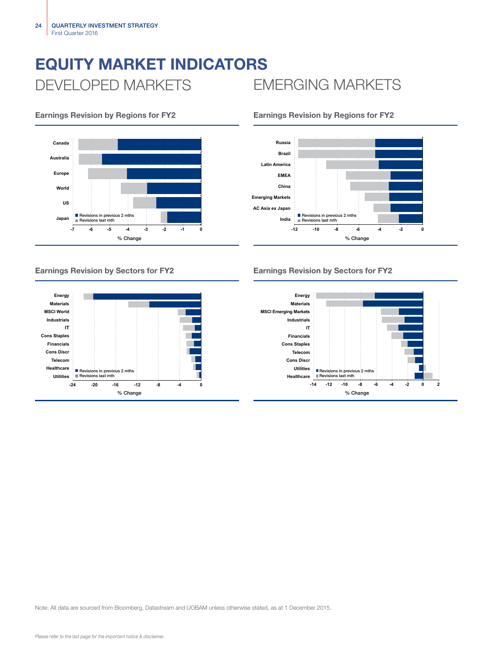# EQUITY MARKET INDICATORS DEVELOPED MARKETS EMERGING MARKETS



### Earnings Revision by Regions for FY2 Earnings Revision by Regions for FY2





### Earnings Revision by Sectors for FY2 Earnings Revision by Sectors for FY2

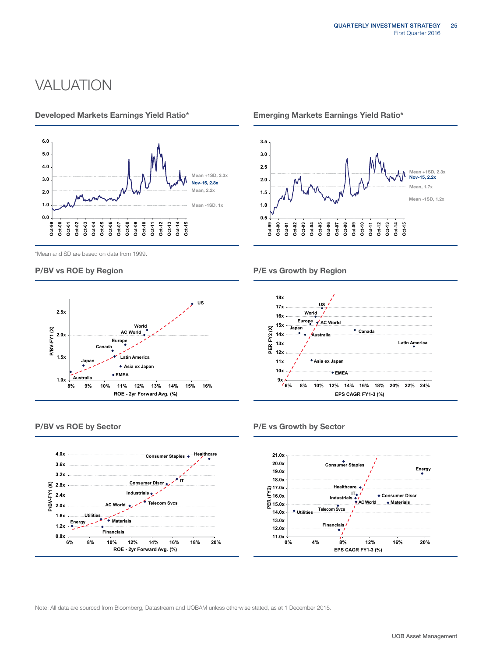## **VALUATION**









### Developed Markets Earnings Yield Ratio\* Emerging Markets Earnings Yield Ratio\*



P/BV vs ROE by Region **P/E** vs Growth by Region



### P/BV vs ROE by Sector **P/BV** vs ROE by Sector

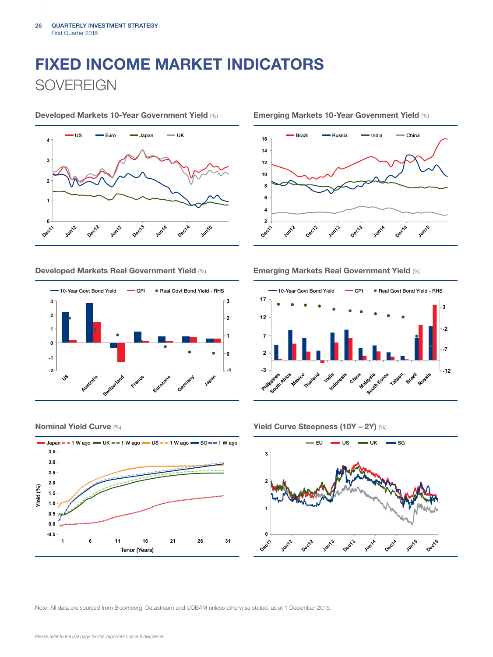# FIXED INCOME MARKET INDICATORS **SOVEREIGN**



Developed Markets 10-Year Government Yield (%) Emerging Markets 10-Year Govenment Yield (%)



### Developed Markets Real Government Yield (%) Emerging Markets Real Government Yield (%)







### Nominal Yield Curve (%) Yield Curve Steepness (10Y – 2Y) (%)

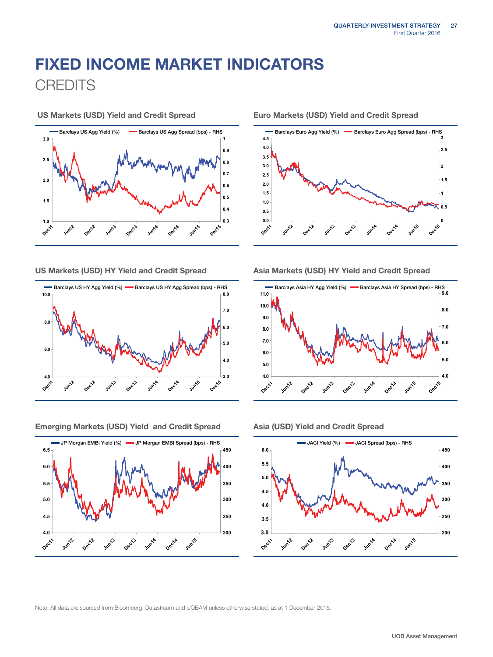## FIXED INCOME MARKET INDICATORS **CREDITS**





Emerging Markets (USD) Yield and Credit Spread Asia (USD) Yield and Credit Spread



US Markets (USD) Yield and Credit Spread Euro Markets (USD) Yield and Credit Spread



### US Markets (USD) HY Yield and Credit Spread Asia Markets (USD) HY Yield and Credit Spread



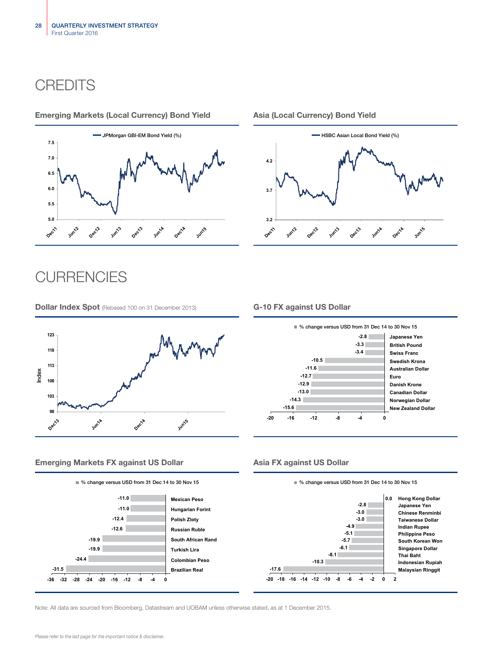### **CREDITS**

### Emerging Markets (Local Currency) Bond Yield Asia (Local Currency) Bond Yield





### **CURRENCIES**

**Dollar Index Spot** (Rebased 100 on 31 December 2013) **G-10 FX against US Dollar** 





### Emerging Markets FX against US Dollar Asia FX against US Dollar



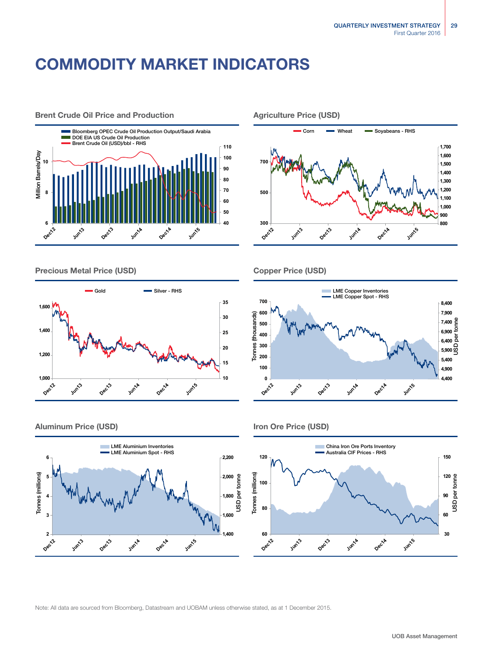## COMMODITY MARKET INDICATORS



Precious Metal Price (USD) Copper Price (USD)



Brent Crude Oil Price and Production Agriculture Price (USD)





### Aluminum Price (USD) and the USD of the USD of the USD of the USD of the USD of the USD of the USD of the USD of the USD of the USD of the USD of the USD of the USD of the USD of the USD of the USD of the USD of the USD of



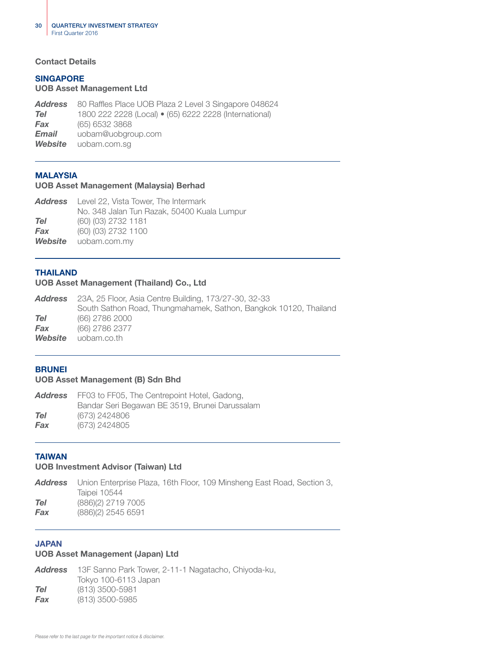### Contact Details

### SINGAPORE

### UOB Asset Management Ltd

*Address* 80 Raffles Place UOB Plaza 2 Level 3 Singapore 048624 *Tel* 1800 222 2228 (Local) • (65) 6222 2228 (International) *Fax* (65) 6532 3868 *Email* uobam@uobgroup.com *Website* uobam.com.sg

### MALAYSIA

### UOB Asset Management (Malaysia) Berhad

| <b>Address</b> Level 22, Vista Tower, The Intermark |
|-----------------------------------------------------|
| No. 348 Jalan Tun Razak, 50400 Kuala Lumpur         |
| (60) (03) 2732 1181                                 |
| (60) (03) 2732 1100                                 |
| <b>Website</b> uobam.com.my                         |
|                                                     |

### THAILAND

### UOB Asset Management (Thailand) Co., Ltd

|         | <b>Address</b> 23A, 25 Floor, Asia Centre Building, 173/27-30, 32-33 |
|---------|----------------------------------------------------------------------|
|         | South Sathon Road, Thungmahamek, Sathon, Bangkok 10120, Thailand     |
| Tel     | (66) 2786 2000                                                       |
| Fax     | (66) 2786 2377                                                       |
| Website | uobam.co.th                                                          |

### **BRUNEI**

### UOB Asset Management (B) Sdn Bhd

| Address | FF03 to FF05, The Centrepoint Hotel, Gadong,   |
|---------|------------------------------------------------|
|         | Bandar Seri Begawan BE 3519, Brunei Darussalam |
| Tel     | (673) 2424806                                  |
| Fax     | (673) 2424805                                  |

### TAIWAN

### UOB Investment Advisor (Taiwan) Ltd

|     | <b>Address</b> Union Enterprise Plaza, 16th Floor, 109 Minsheng East Road, Section 3, . |
|-----|-----------------------------------------------------------------------------------------|
|     | Taipei 10544                                                                            |
| Tel | (886)(2) 2719 7005                                                                      |
| Fax | $(886)(2)$ 2545 6591                                                                    |
|     |                                                                                         |

### JAPAN

### UOB Asset Management (Japan) Ltd

*Address* 13F Sanno Park Tower, 2-11-1 Nagatacho, Chiyoda-ku, Tokyo 100-6113 Japan *Tel* (813) 3500-5981 *Fax* (813) 3500-5985